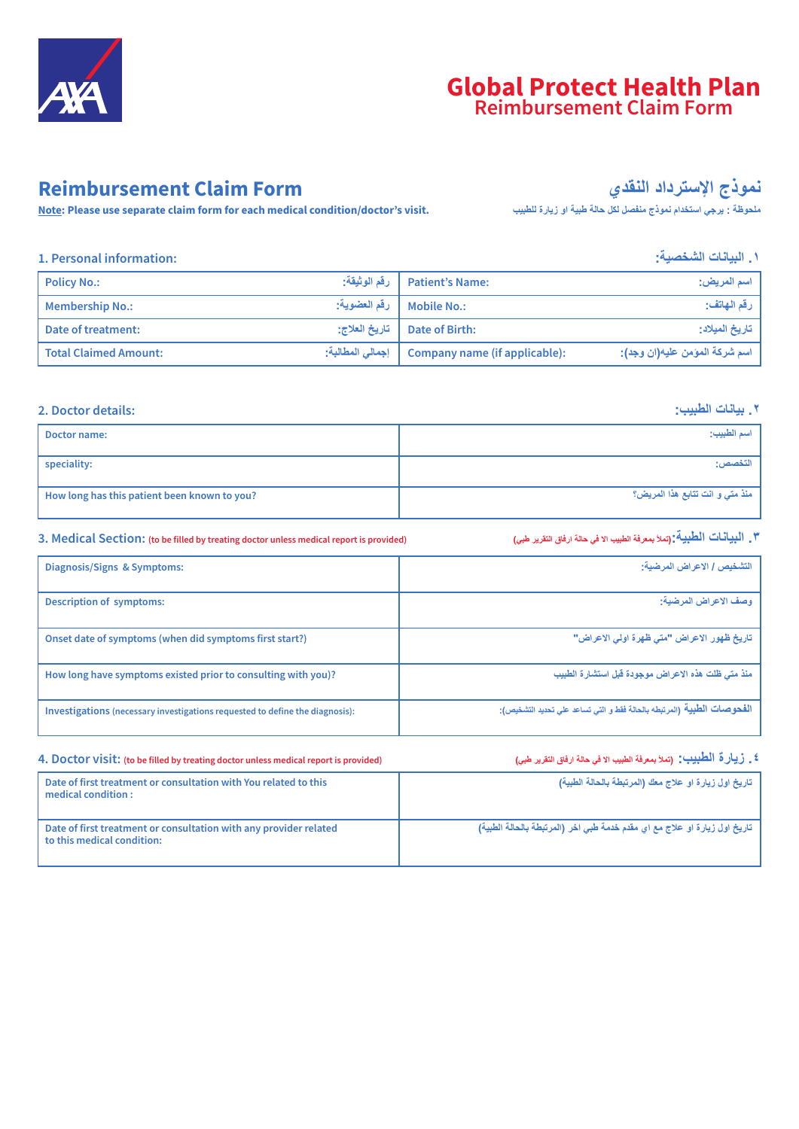

# **Global Protect Health Plan Reimbursement Claim Form**

# **Reimbursement Claim Form**

**Note: Please use separate claim form for each medical condition/doctor's visit.**

**نموذج الإسترداد النقدي**

**ملحوظة : یرجي استخدام نموذج منفصل لكل حالة طبیة او زیارة للطبیب**

## **.۱ البیانات الشخصیة: :information Personal 1.**

| <b>Policy No.:</b>           | رقم الوثيقة:  | <b>Patient's Name:</b>                              | اسم المريض:                   |
|------------------------------|---------------|-----------------------------------------------------|-------------------------------|
| <b>Membership No.:</b>       |               | Mobile No.:   رفَّم العضوية:                        | رقم الهاتف:                   |
| Date of treatment:           | تاريخ العلاج: | Date of Birth:                                      | تاريخ الميلاد:                |
| <b>Total Claimed Amount:</b> |               | : (Company name (if applicable)   إجمالي المطالبة : | اسم شركة المؤمن عليه(ان وجد): |

### **.۲ بیانات الطبیب: :details Doctor 2.**

| Doctor name:                                 | اسم الطبيب:                     |
|----------------------------------------------|---------------------------------|
| speciality:                                  | التخصص:                         |
| How long has this patient been known to you? | منذ متى و انت تتابع هذا المريض؟ |

# **3. Medical Section: (to be filled by treating doctor unless medical report is provided) (طبي التقریر ارفاق حالة في الا الطبیب بمعرفة تملأ(:الطبیة البیانات .۳**

| Diagnosis/Signs & Symptoms:                                                  | التشخيص / الاعراض المرضية:                                             |
|------------------------------------------------------------------------------|------------------------------------------------------------------------|
|                                                                              |                                                                        |
| <b>Description of symptoms:</b>                                              | وصف الاعراض المرضية:                                                   |
|                                                                              |                                                                        |
| Onset date of symptoms (when did symptoms first start?)                      | تاريخ ظهور الاعراض "متى ظهرة اولى الاعراض"                             |
| How long have symptoms existed prior to consulting with you)?                | منذ متى ظلت هذه الاعراض موجودة قبل استشارة الطبيب                      |
| Investigations (necessary investigations requested to define the diagnosis): | الفحوصات الطبية (المرتبطه بالحالة فقط و التي تساعد علي تحديد التشخيص): |

| 4. Doctor visit: (to be filled by treating doctor unless medical report is provided)            | ٤ _ رْ يِـأْلِ ةَ الْطَّنِينِي". (تملأ بمعرفة الطبيب الا في حالة ارفاق التقرير طبي) |  |  |  |
|-------------------------------------------------------------------------------------------------|-------------------------------------------------------------------------------------|--|--|--|
| Date of first treatment or consultation with You related to this<br>medical condition :         | تاريخ اول زيارة او علاج معك (المرتبطة بالحالة الطبية)                               |  |  |  |
| Date of first treatment or consultation with any provider related<br>to this medical condition: | تاريخ اول زيارة او علاج مع اي مقدم خدمة طبي اخر (المرتبطة بالحالة الطبية)           |  |  |  |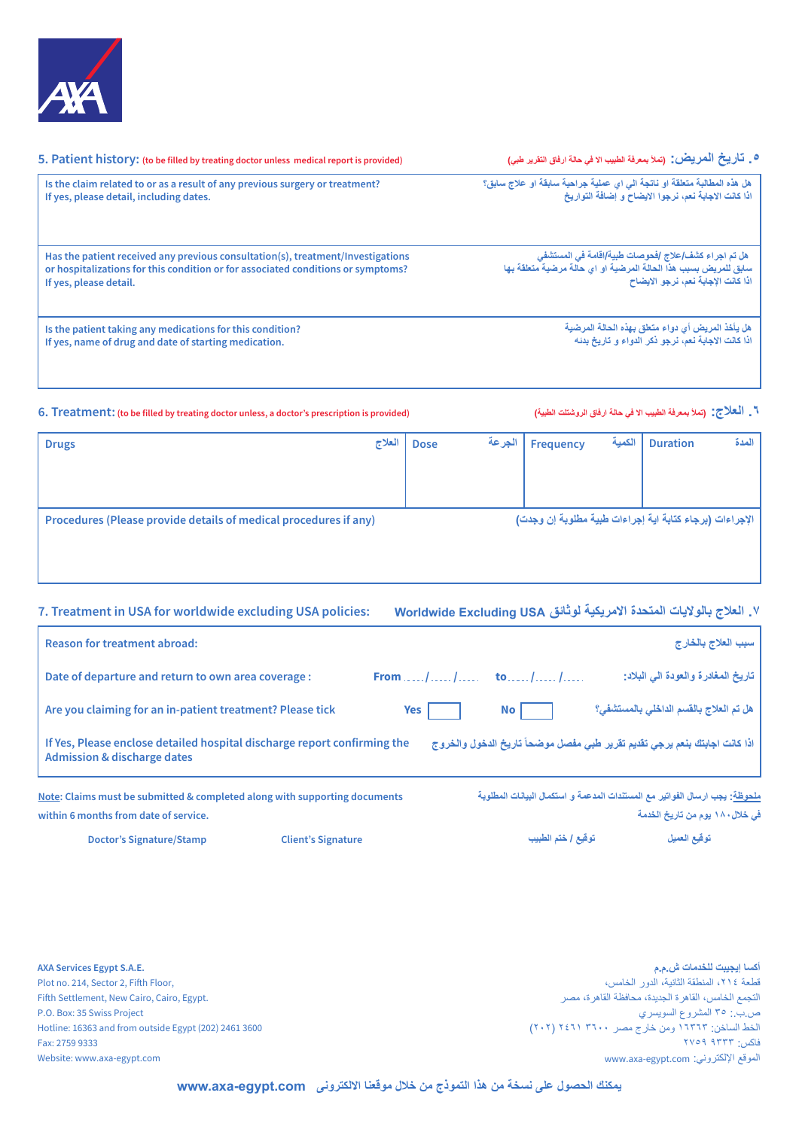

| 5. Patient history: (to be filled by treating doctor unless medical report is provided) | ٥ _ تَـارِيـخُ الْمرِيـِضْ : (تملأ بمعرفة الطبيب الا في حالة ارفاق التقرير طبي) |
|-----------------------------------------------------------------------------------------|---------------------------------------------------------------------------------|
| Is the claim related to or as a result of any previous surgery or treatment?            | هل هذه المطالبة متعلقة او ناتجة الى اي عملية جراحية سابقة او علاج سابق؟         |
| If yes, please detail, including dates.                                                 | اذاً كانت الإجابة نعم، نرجوا الإيضاح و إضافة التواريخ                           |
| Has the patient received any previous consultation(s), treatment/Investigations         | هل تم اجراء كشف/علاج /فحوصات طبية/اقامة في المستشفى                             |
| or hospitalizations for this condition or for associated conditions or symptoms?        | سابق للمريض بسبب هذا الحالة المرضية او اي حالة مرضية متعلقة بها                 |
| If yes, please detail.                                                                  | اذا كانت الإجابة نعم، نرجو الإيضاح                                              |
| Is the patient taking any medications for this condition?                               | هل يأخذ المريض أي دواء متعلق بهذه الحالة المرضية                                |
| If yes, name of drug and date of starting medication.                                   | اذا كانت الاجابة نعم، نرجو ذكر الدواء و تاريخ بدنه                              |

### **6. Treatment: (to be filled by treating doctor unless, a doctor's prescription is provided) (الطبیة الروشتلت ارفاق حالة في الا الطبیب بمعرفة تملأ (:العلاج .٦**

| العلاج<br><b>Drugs</b>                                           |  | <b>Dose</b>                                             | ' الجرعة | Frequency | الكمية | <b>Duration</b> | المدة |
|------------------------------------------------------------------|--|---------------------------------------------------------|----------|-----------|--------|-----------------|-------|
|                                                                  |  |                                                         |          |           |        |                 |       |
|                                                                  |  |                                                         |          |           |        |                 |       |
| Procedures (Please provide details of medical procedures if any) |  | الإجراءات (برجاء كتابة اية إجراءات طبية مطلوبة إن وجدت) |          |           |        |                 |       |
|                                                                  |  |                                                         |          |           |        |                 |       |
|                                                                  |  |                                                         |          |           |        |                 |       |

### **7. Treatment in USA for worldwide excluding USA policies: Worldwide Excluding USA لوثائق الامریكیة المتحدة بالولایات العلاج .۷**

| Reason for treatment abroad:                                                                                        |                                     |                 | سبب العلاج بالخارج                                                                                                     |
|---------------------------------------------------------------------------------------------------------------------|-------------------------------------|-----------------|------------------------------------------------------------------------------------------------------------------------|
| Date of departure and return to own area coverage :                                                                 | From , $1, , 1, ,$ to , $1, , 1, ,$ |                 | تاريخ المغادرة والعودة الى البلاد:                                                                                     |
| Are you claiming for an in-patient treatment? Please tick                                                           | Yes                                 | No <sub>1</sub> | هل تم العلاج بالقسم الداخلي بالمستشفى؟                                                                                 |
| If Yes, Please enclose detailed hospital discharge report confirming the<br><b>Admission &amp; discharge dates</b>  |                                     |                 | اذا كانت اجابتك بنعم يرجى تقديم تقرير طبي مفصل موضحاً تاريخ الدخول والخروج                                             |
| Note: Claims must be submitted & completed along with supporting documents<br>within 6 months from date of service. |                                     |                 | <u>ملحوظة</u> : يجب ارسال الفواتير مع المستندات المدعمة و استكمال البيانات المطلوبة<br>في خلال ١٨٠ يوم من تاريخ الخدمة |

**توقیع العمیل توقیع / ختم الطبیب Doctor's Signature/Stamp Client's Signature** 

**AXA Services Egypt S.A.E.** Plot no. 214, Sector 2, Fifth Floor, Fifth Settlement, New Cairo, Cairo, Egypt. P.O. Box: 35 Swiss Project Hotline: 16363 and from outside Egypt (202) 2461 3600 Fax: 2759 9333 Website: www.axa-egypt.com

**أكسا إیجیبت للخدمات ش.م.م** قطعة ،۲۱٤ المنطقة الثانیة، الدور الخامس، التجمع الخامس، القاھرة الجدیدة، محافظة القاھرة، مصر ص.ب:. ۳٥ المشروع السویسري الخط الساخن: ۱٦۳٦۳ ومن خارج مصر ۳٦۰۰ ۲٤٦۱ (۲۰۲) فاكس: ۹۳۳۳ ۲۷٥۹ www.axa-egypt.com :الإلكتروني الموقع

**یمكنك الحصول على نسخة من ھذا التموذج من خلال موقعنا الالكترونى com.egypt-axa.www**